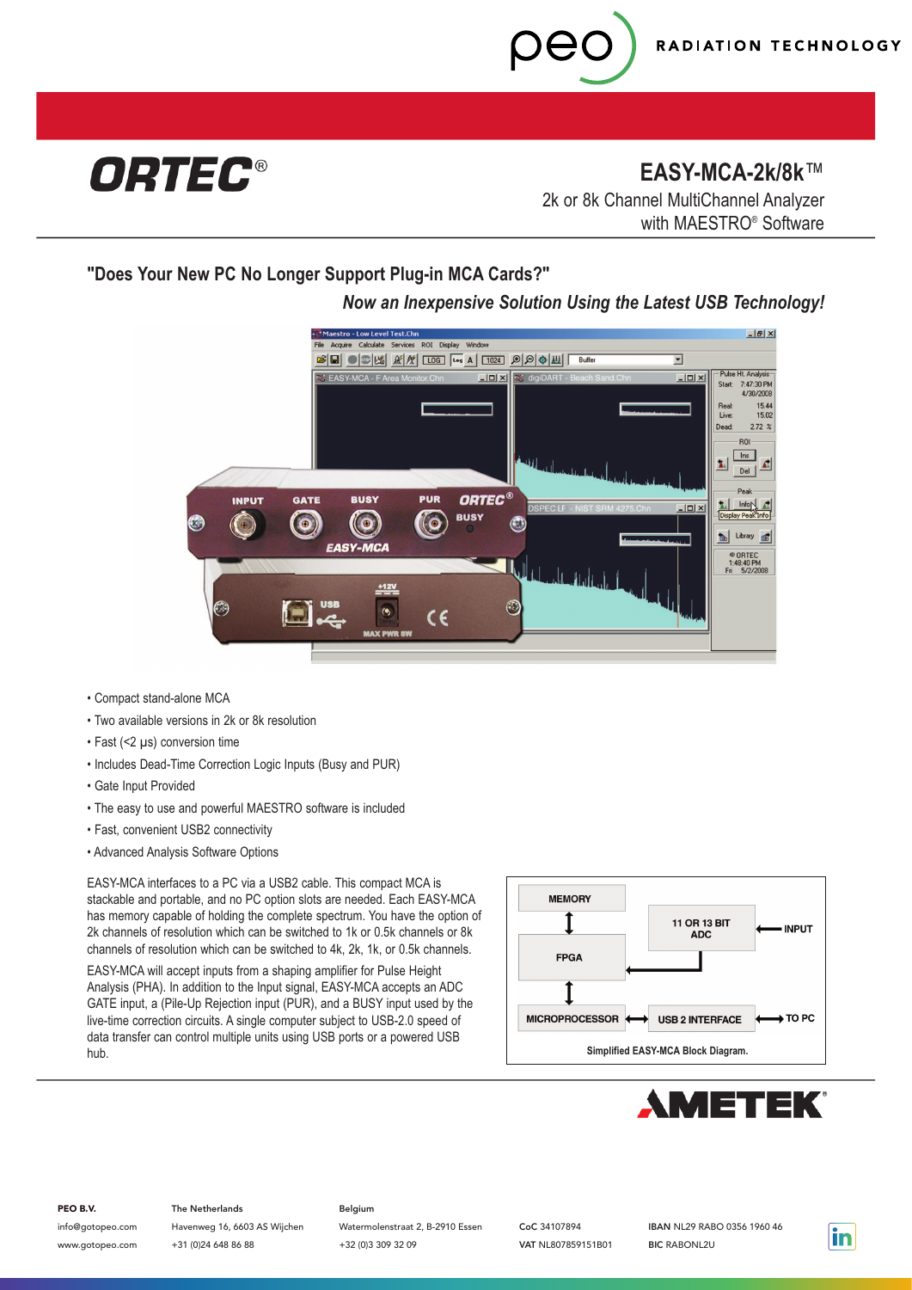

**EASY-MCA-2k/8k**™

2k or 8k Channel MultiChannel Analyzer with MAESTRO® Software

**"Does Your New PC No Longer Support Plug-in MCA Cards?"**

## *Now an Inexpensive Solution Using the Latest USB Technology!*



- Compact stand-alone MCA
- Two available versions in 2k or 8k resolution
- Fast (<2 µs) conversion time
- Includes Dead-Time Correction Logic Inputs (Busy and PUR)
- Gate Input Provided
- The easy to use and powerful MAESTRO software is included
- Fast, convenient USB2 connectivity
- Advanced Analysis Software Options

EASY-MCA interfaces to a PC via a USB2 cable. This compact MCA is stackable and portable, and no PC option slots are needed. Each EASY-MCA has memory capable of holding the complete spectrum. You have the option of 2k channels of resolution which can be switched to 1k or 0.5k channels or 8k channels of resolution which can be switched to 4k, 2k, 1k, or 0.5k channels.

EASY-MCA will accept inputs from a shaping amplifier for Pulse Height Analysis (PHA). In addition to the Input signal, EASY-MCA accepts an ADC GATE input, a (Pile-Up Rejection input (PUR), and a BUSY input used by the live-time correction circuits. A single computer subject to USB-2.0 speed of data transfer can control multiple units using USB ports or a powered USB hub.





#### PEO B.V.

info@gotopeo.com www.gotopeo.com

The Netherlands Havenweg 16, 6603 AS Wijchen +31 (0)24 648 86 88

### Belgium

Watermolenstraat 2, B-2910 Essen +32 (0)3 309 32 09

CoC 34107894 VAT NL807859151B01 IBAN NL29 RABO 0356 1960 46 BIC RABONL2U